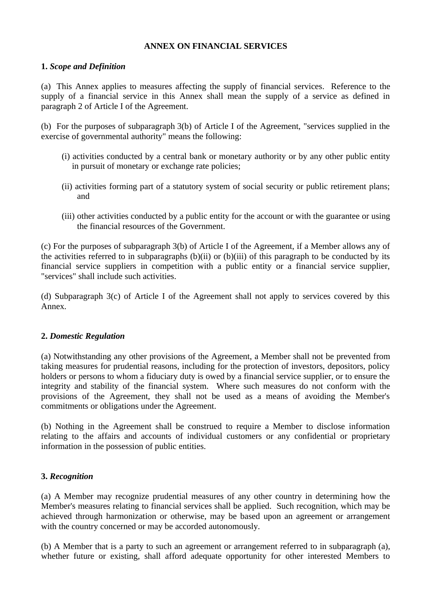## **ANNEX ON FINANCIAL SERVICES**

## **1.** *Scope and Definition*

(a) This Annex applies to measures affecting the supply of financial services. Reference to the supply of a financial service in this Annex shall mean the supply of a service as defined in paragraph 2 of Article I of the Agreement.

(b) For the purposes of subparagraph 3(b) of Article I of the Agreement, "services supplied in the exercise of governmental authority" means the following:

- (i) activities conducted by a central bank or monetary authority or by any other public entity in pursuit of monetary or exchange rate policies;
- (ii) activities forming part of a statutory system of social security or public retirement plans; and
- (iii) other activities conducted by a public entity for the account or with the guarantee or using the financial resources of the Government.

(c) For the purposes of subparagraph 3(b) of Article I of the Agreement, if a Member allows any of the activities referred to in subparagraphs  $(b)(ii)$  or  $(b)(iii)$  of this paragraph to be conducted by its financial service suppliers in competition with a public entity or a financial service supplier, "services" shall include such activities.

(d) Subparagraph 3(c) of Article I of the Agreement shall not apply to services covered by this Annex.

# **2.** *Domestic Regulation*

(a) Notwithstanding any other provisions of the Agreement, a Member shall not be prevented from taking measures for prudential reasons, including for the protection of investors, depositors, policy holders or persons to whom a fiduciary duty is owed by a financial service supplier, or to ensure the integrity and stability of the financial system. Where such measures do not conform with the provisions of the Agreement, they shall not be used as a means of avoiding the Member's commitments or obligations under the Agreement.

(b) Nothing in the Agreement shall be construed to require a Member to disclose information relating to the affairs and accounts of individual customers or any confidential or proprietary information in the possession of public entities.

# **3.** *Recognition*

(a) A Member may recognize prudential measures of any other country in determining how the Member's measures relating to financial services shall be applied. Such recognition, which may be achieved through harmonization or otherwise, may be based upon an agreement or arrangement with the country concerned or may be accorded autonomously.

(b) A Member that is a party to such an agreement or arrangement referred to in subparagraph (a), whether future or existing, shall afford adequate opportunity for other interested Members to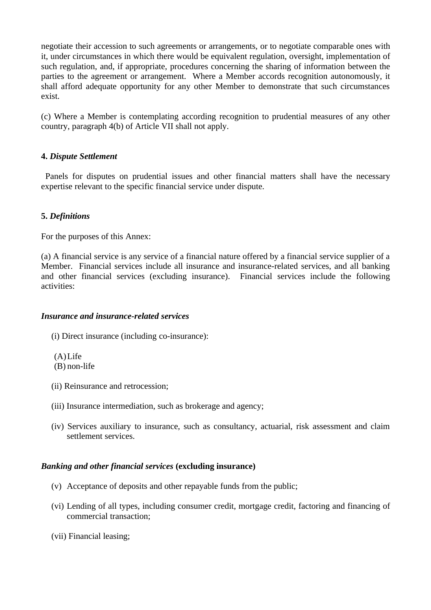negotiate their accession to such agreements or arrangements, or to negotiate comparable ones with it, under circumstances in which there would be equivalent regulation, oversight, implementation of such regulation, and, if appropriate, procedures concerning the sharing of information between the parties to the agreement or arrangement. Where a Member accords recognition autonomously, it shall afford adequate opportunity for any other Member to demonstrate that such circumstances exist.

(c) Where a Member is contemplating according recognition to prudential measures of any other country, paragraph 4(b) of Article VII shall not apply.

## **4.** *Dispute Settlement*

 Panels for disputes on prudential issues and other financial matters shall have the necessary expertise relevant to the specific financial service under dispute.

# **5.** *Definitions*

For the purposes of this Annex:

(a) A financial service is any service of a financial nature offered by a financial service supplier of a Member. Financial services include all insurance and insurance-related services, and all banking and other financial services (excluding insurance). Financial services include the following activities:

#### *Insurance and insurance-related services*

(i) Direct insurance (including co-insurance):

(A)Life

(B) non-life

(ii) Reinsurance and retrocession;

- (iii) Insurance intermediation, such as brokerage and agency;
- (iv) Services auxiliary to insurance, such as consultancy, actuarial, risk assessment and claim settlement services.

# *Banking and other financial services* **(excluding insurance)**

- (v) Acceptance of deposits and other repayable funds from the public;
- (vi) Lending of all types, including consumer credit, mortgage credit, factoring and financing of commercial transaction;

(vii) Financial leasing;